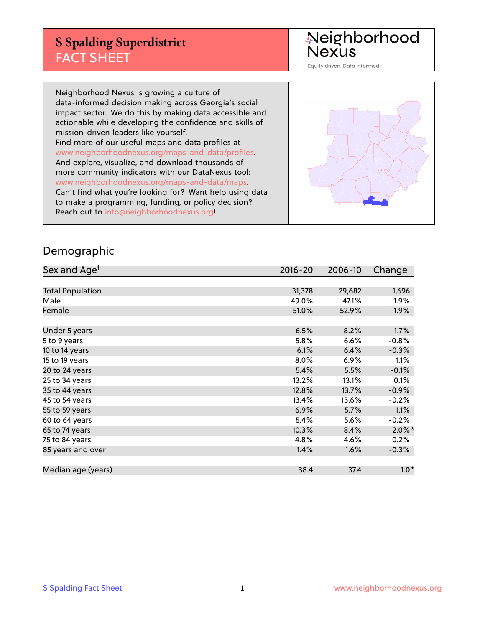## **S Spalding Superdistrict** FACT SHEET

Neighborhood<br>Nexus

Equity driven. Data informed.

Neighborhood Nexus is growing a culture of data-informed decision making across Georgia's social impact sector. We do this by making data accessible and actionable while developing the confidence and skills of mission-driven leaders like yourself. Find more of our useful maps and data profiles at www.neighborhoodnexus.org/maps-and-data/profiles. And explore, visualize, and download thousands of more community indicators with our DataNexus tool: www.neighborhoodnexus.org/maps-and-data/maps. Can't find what you're looking for? Want help using data to make a programming, funding, or policy decision? Reach out to [info@neighborhoodnexus.org!](mailto:info@neighborhoodnexus.org)



### Demographic

| Sex and Age <sup>1</sup> | $2016 - 20$ | 2006-10 | Change    |
|--------------------------|-------------|---------|-----------|
|                          |             |         |           |
| <b>Total Population</b>  | 31,378      | 29,682  | 1,696     |
| Male                     | 49.0%       | 47.1%   | $1.9\%$   |
| Female                   | 51.0%       | 52.9%   | $-1.9%$   |
|                          |             |         |           |
| Under 5 years            | 6.5%        | 8.2%    | $-1.7%$   |
| 5 to 9 years             | 5.8%        | 6.6%    | $-0.8%$   |
| 10 to 14 years           | 6.1%        | 6.4%    | $-0.3%$   |
| 15 to 19 years           | 8.0%        | 6.9%    | 1.1%      |
| 20 to 24 years           | 5.4%        | 5.5%    | $-0.1%$   |
| 25 to 34 years           | 13.2%       | 13.1%   | 0.1%      |
| 35 to 44 years           | 12.8%       | 13.7%   | $-0.9%$   |
| 45 to 54 years           | 13.4%       | 13.6%   | $-0.2%$   |
| 55 to 59 years           | 6.9%        | 5.7%    | 1.1%      |
| 60 to 64 years           | 5.4%        | 5.6%    | $-0.2%$   |
| 65 to 74 years           | 10.3%       | 8.4%    | $2.0\%$ * |
| 75 to 84 years           | 4.8%        | 4.6%    | 0.2%      |
| 85 years and over        | 1.4%        | 1.6%    | $-0.3%$   |
|                          |             |         |           |
| Median age (years)       | 38.4        | 37.4    | $1.0*$    |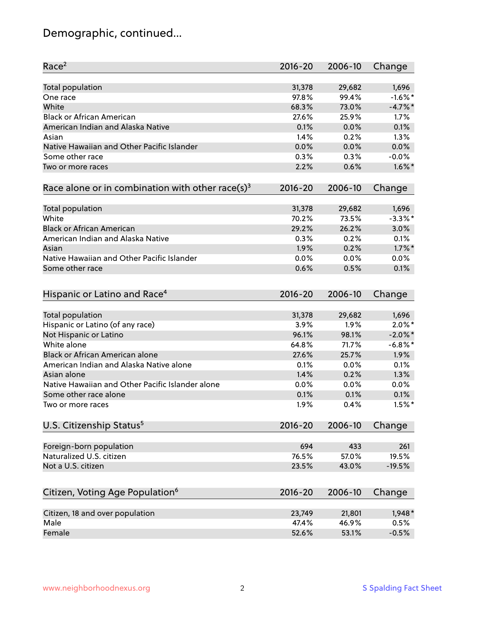# Demographic, continued...

| Race <sup>2</sup>                                            | $2016 - 20$ | 2006-10 | Change     |
|--------------------------------------------------------------|-------------|---------|------------|
| <b>Total population</b>                                      | 31,378      | 29,682  | 1,696      |
| One race                                                     | 97.8%       | 99.4%   | $-1.6\%$ * |
| White                                                        | 68.3%       | 73.0%   | $-4.7\%$ * |
| <b>Black or African American</b>                             | 27.6%       | 25.9%   | 1.7%       |
| American Indian and Alaska Native                            | 0.1%        | 0.0%    | 0.1%       |
| Asian                                                        | 1.4%        | 0.2%    | 1.3%       |
| Native Hawaiian and Other Pacific Islander                   | 0.0%        | 0.0%    | 0.0%       |
| Some other race                                              | 0.3%        | 0.3%    | $-0.0%$    |
| Two or more races                                            | 2.2%        | 0.6%    | $1.6\%$ *  |
| Race alone or in combination with other race(s) <sup>3</sup> | $2016 - 20$ | 2006-10 | Change     |
|                                                              |             |         |            |
| Total population                                             | 31,378      | 29,682  | 1,696      |
| White                                                        | 70.2%       | 73.5%   | $-3.3%$ *  |
| <b>Black or African American</b>                             | 29.2%       | 26.2%   | 3.0%       |
| American Indian and Alaska Native                            | 0.3%        | 0.2%    | 0.1%       |
| Asian                                                        | 1.9%        | 0.2%    | $1.7\%$ *  |
| Native Hawaiian and Other Pacific Islander                   | 0.0%        | 0.0%    | 0.0%       |
| Some other race                                              | 0.6%        | 0.5%    | 0.1%       |
| Hispanic or Latino and Race <sup>4</sup>                     | $2016 - 20$ | 2006-10 | Change     |
|                                                              |             |         |            |
| <b>Total population</b>                                      | 31,378      | 29,682  | 1,696      |
| Hispanic or Latino (of any race)                             | 3.9%        | 1.9%    | $2.0\%$ *  |
| Not Hispanic or Latino                                       | 96.1%       | 98.1%   | $-2.0\%$ * |
| White alone                                                  | 64.8%       | 71.7%   | $-6.8\%$ * |
| Black or African American alone                              | 27.6%       | 25.7%   | 1.9%       |
| American Indian and Alaska Native alone                      | 0.1%        | 0.0%    | 0.1%       |
| Asian alone                                                  | 1.4%        | 0.2%    | 1.3%       |
| Native Hawaiian and Other Pacific Islander alone             | 0.0%        | 0.0%    | 0.0%       |
| Some other race alone                                        | 0.1%        | 0.1%    | 0.1%       |
| Two or more races                                            | 1.9%        | 0.4%    | $1.5%$ *   |
| U.S. Citizenship Status <sup>5</sup>                         | $2016 - 20$ | 2006-10 | Change     |
|                                                              |             |         |            |
| Foreign-born population                                      | 694         | 433     | 261        |
| Naturalized U.S. citizen                                     | 76.5%       | 57.0%   | 19.5%      |
| Not a U.S. citizen                                           | 23.5%       | 43.0%   | $-19.5%$   |
| Citizen, Voting Age Population <sup>6</sup>                  | $2016 - 20$ | 2006-10 | Change     |
|                                                              |             |         |            |
| Citizen, 18 and over population                              | 23,749      | 21,801  | $1,948*$   |
| Male                                                         | 47.4%       | 46.9%   | 0.5%       |
| Female                                                       | 52.6%       | 53.1%   | $-0.5%$    |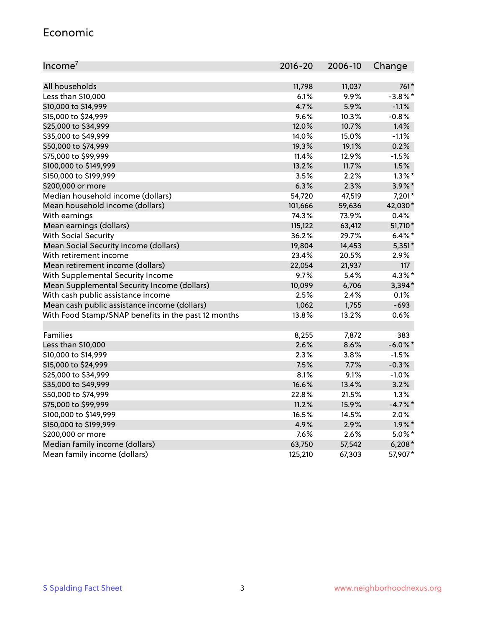### Economic

| Income <sup>7</sup>                                 | 2016-20 | 2006-10 | Change     |
|-----------------------------------------------------|---------|---------|------------|
|                                                     |         |         |            |
| All households                                      | 11,798  | 11,037  | 761*       |
| Less than \$10,000                                  | 6.1%    | 9.9%    | $-3.8\%$ * |
| \$10,000 to \$14,999                                | 4.7%    | 5.9%    | $-1.1%$    |
| \$15,000 to \$24,999                                | 9.6%    | 10.3%   | $-0.8%$    |
| \$25,000 to \$34,999                                | 12.0%   | 10.7%   | 1.4%       |
| \$35,000 to \$49,999                                | 14.0%   | 15.0%   | $-1.1%$    |
| \$50,000 to \$74,999                                | 19.3%   | 19.1%   | 0.2%       |
| \$75,000 to \$99,999                                | 11.4%   | 12.9%   | $-1.5%$    |
| \$100,000 to \$149,999                              | 13.2%   | 11.7%   | 1.5%       |
| \$150,000 to \$199,999                              | 3.5%    | 2.2%    | $1.3\%$ *  |
| \$200,000 or more                                   | 6.3%    | 2.3%    | 3.9%*      |
| Median household income (dollars)                   | 54,720  | 47,519  | 7,201*     |
| Mean household income (dollars)                     | 101,666 | 59,636  | 42,030*    |
| With earnings                                       | 74.3%   | 73.9%   | 0.4%       |
| Mean earnings (dollars)                             | 115,122 | 63,412  | 51,710*    |
| <b>With Social Security</b>                         | 36.2%   | 29.7%   | $6.4\%$ *  |
| Mean Social Security income (dollars)               | 19,804  | 14,453  | $5,351*$   |
| With retirement income                              | 23.4%   | 20.5%   | 2.9%       |
| Mean retirement income (dollars)                    | 22,054  | 21,937  | 117        |
| With Supplemental Security Income                   | 9.7%    | 5.4%    | $4.3\%$ *  |
| Mean Supplemental Security Income (dollars)         | 10,099  | 6,706   | $3,394*$   |
| With cash public assistance income                  | 2.5%    | 2.4%    | 0.1%       |
| Mean cash public assistance income (dollars)        | 1,062   | 1,755   | $-693$     |
| With Food Stamp/SNAP benefits in the past 12 months | 13.8%   | 13.2%   | 0.6%       |
|                                                     |         |         |            |
| Families                                            | 8,255   | 7,872   | 383        |
| Less than \$10,000                                  | 2.6%    | 8.6%    | $-6.0\%$ * |
| \$10,000 to \$14,999                                | 2.3%    | 3.8%    | $-1.5%$    |
| \$15,000 to \$24,999                                | 7.5%    | 7.7%    | $-0.3%$    |
| \$25,000 to \$34,999                                | 8.1%    | 9.1%    | $-1.0%$    |
| \$35,000 to \$49,999                                | 16.6%   | 13.4%   | 3.2%       |
| \$50,000 to \$74,999                                | 22.8%   | 21.5%   | 1.3%       |
| \$75,000 to \$99,999                                | 11.2%   | 15.9%   | $-4.7%$ *  |
| \$100,000 to \$149,999                              | 16.5%   | 14.5%   | 2.0%       |
| \$150,000 to \$199,999                              | 4.9%    | 2.9%    | $1.9\%$ *  |
| \$200,000 or more                                   | 7.6%    | 2.6%    | $5.0\%$ *  |
| Median family income (dollars)                      | 63,750  | 57,542  | $6,208*$   |
| Mean family income (dollars)                        | 125,210 | 67,303  | 57,907*    |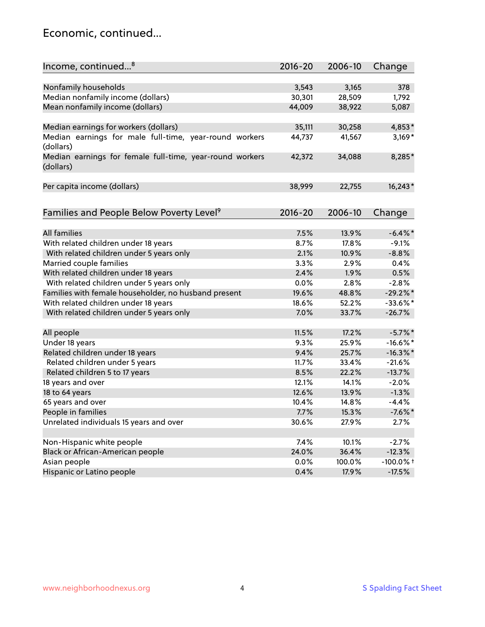### Economic, continued...

| Income, continued <sup>8</sup>                                        | $2016 - 20$ | 2006-10 | Change       |
|-----------------------------------------------------------------------|-------------|---------|--------------|
|                                                                       |             |         |              |
| Nonfamily households                                                  | 3,543       | 3,165   | 378          |
| Median nonfamily income (dollars)                                     | 30,301      | 28,509  | 1,792        |
| Mean nonfamily income (dollars)                                       | 44,009      | 38,922  | 5,087        |
| Median earnings for workers (dollars)                                 | 35,111      | 30,258  | 4,853*       |
| Median earnings for male full-time, year-round workers                | 44,737      | 41,567  | $3,169*$     |
| (dollars)                                                             |             |         |              |
| Median earnings for female full-time, year-round workers<br>(dollars) | 42,372      | 34,088  | 8,285*       |
| Per capita income (dollars)                                           | 38,999      | 22,755  | $16,243*$    |
|                                                                       |             |         |              |
| Families and People Below Poverty Level <sup>9</sup>                  | $2016 - 20$ | 2006-10 | Change       |
|                                                                       |             |         |              |
| <b>All families</b>                                                   | 7.5%        | 13.9%   | $-6.4\%$ *   |
| With related children under 18 years                                  | 8.7%        | 17.8%   | $-9.1%$      |
| With related children under 5 years only                              | 2.1%        | 10.9%   | $-8.8%$      |
| Married couple families                                               | 3.3%        | 2.9%    | 0.4%         |
| With related children under 18 years                                  | 2.4%        | 1.9%    | 0.5%         |
| With related children under 5 years only                              | 0.0%        | 2.8%    | $-2.8%$      |
| Families with female householder, no husband present                  | 19.6%       | 48.8%   | $-29.2%$     |
| With related children under 18 years                                  | 18.6%       | 52.2%   | $-33.6\%$ *  |
| With related children under 5 years only                              | 7.0%        | 33.7%   | $-26.7%$     |
| All people                                                            | 11.5%       | 17.2%   | $-5.7\%$ *   |
| Under 18 years                                                        | 9.3%        | 25.9%   | $-16.6\%$ *  |
| Related children under 18 years                                       | 9.4%        | 25.7%   | $-16.3\%$ *  |
| Related children under 5 years                                        | 11.7%       | 33.4%   | $-21.6%$     |
| Related children 5 to 17 years                                        | 8.5%        | 22.2%   | $-13.7%$     |
| 18 years and over                                                     | 12.1%       | 14.1%   | $-2.0%$      |
| 18 to 64 years                                                        | 12.6%       | 13.9%   | $-1.3%$      |
| 65 years and over                                                     | 10.4%       | 14.8%   | $-4.4%$      |
| People in families                                                    | 7.7%        | 15.3%   | $-7.6%$ *    |
| Unrelated individuals 15 years and over                               | 30.6%       | 27.9%   | 2.7%         |
|                                                                       |             |         |              |
| Non-Hispanic white people                                             | 7.4%        | 10.1%   | $-2.7%$      |
| Black or African-American people                                      | 24.0%       | 36.4%   | $-12.3%$     |
| Asian people                                                          | 0.0%        | 100.0%  | $-100.0\%$ t |
| Hispanic or Latino people                                             | 0.4%        | 17.9%   | $-17.5%$     |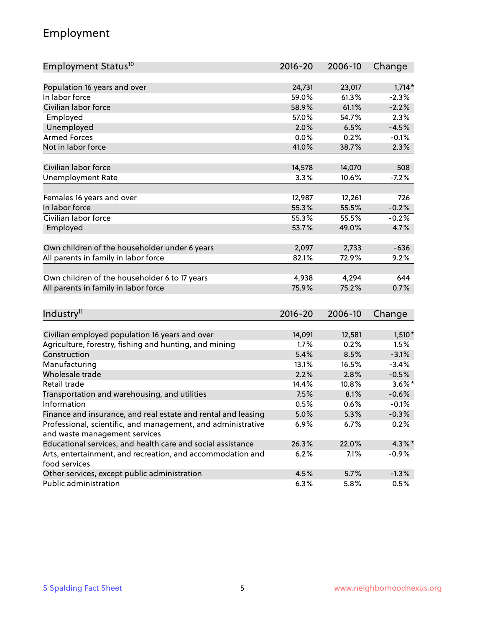### Employment

| Employment Status <sup>10</sup>                                             | $2016 - 20$ | 2006-10 | Change    |
|-----------------------------------------------------------------------------|-------------|---------|-----------|
|                                                                             |             |         |           |
| Population 16 years and over                                                | 24,731      | 23,017  | $1,714*$  |
| In labor force                                                              | 59.0%       | 61.3%   | $-2.3%$   |
| Civilian labor force                                                        | 58.9%       | 61.1%   | $-2.2%$   |
| Employed                                                                    | 57.0%       | 54.7%   | 2.3%      |
| Unemployed                                                                  | 2.0%        | 6.5%    | $-4.5%$   |
| <b>Armed Forces</b>                                                         | 0.0%        | 0.2%    | $-0.1%$   |
| Not in labor force                                                          | 41.0%       | 38.7%   | 2.3%      |
| Civilian labor force                                                        | 14,578      | 14,070  | 508       |
|                                                                             | 3.3%        |         | $-7.2%$   |
| <b>Unemployment Rate</b>                                                    |             | 10.6%   |           |
| Females 16 years and over                                                   | 12,987      | 12,261  | 726       |
| In labor force                                                              | 55.3%       | 55.5%   | $-0.2%$   |
| Civilian labor force                                                        | 55.3%       | 55.5%   | $-0.2%$   |
| Employed                                                                    | 53.7%       | 49.0%   | 4.7%      |
|                                                                             |             |         |           |
| Own children of the householder under 6 years                               | 2,097       | 2,733   | $-636$    |
| All parents in family in labor force                                        | 82.1%       | 72.9%   | 9.2%      |
|                                                                             |             |         |           |
| Own children of the householder 6 to 17 years                               | 4,938       | 4,294   | 644       |
| All parents in family in labor force                                        | 75.9%       | 75.2%   | 0.7%      |
|                                                                             |             |         |           |
| Industry <sup>11</sup>                                                      | $2016 - 20$ | 2006-10 | Change    |
|                                                                             |             |         |           |
| Civilian employed population 16 years and over                              | 14,091      | 12,581  | $1,510*$  |
| Agriculture, forestry, fishing and hunting, and mining                      | 1.7%        | 0.2%    | 1.5%      |
| Construction                                                                | 5.4%        | 8.5%    | $-3.1%$   |
| Manufacturing                                                               | 13.1%       | 16.5%   | $-3.4%$   |
| Wholesale trade                                                             | 2.2%        | 2.8%    | $-0.5%$   |
| Retail trade                                                                | 14.4%       | 10.8%   | $3.6\%$ * |
| Transportation and warehousing, and utilities                               | 7.5%        | 8.1%    | $-0.6%$   |
| Information                                                                 | 0.5%        | 0.6%    | $-0.1%$   |
| Finance and insurance, and real estate and rental and leasing               | 5.0%        | 5.3%    | $-0.3%$   |
| Professional, scientific, and management, and administrative                | $6.9\%$     | 6.7%    | 0.2%      |
| and waste management services                                               |             |         |           |
| Educational services, and health care and social assistance                 | 26.3%       | 22.0%   | 4.3%*     |
| Arts, entertainment, and recreation, and accommodation and<br>food services | 6.2%        | 7.1%    | $-0.9%$   |
| Other services, except public administration                                | 4.5%        | 5.7%    | $-1.3%$   |
| Public administration                                                       | 6.3%        | 5.8%    | 0.5%      |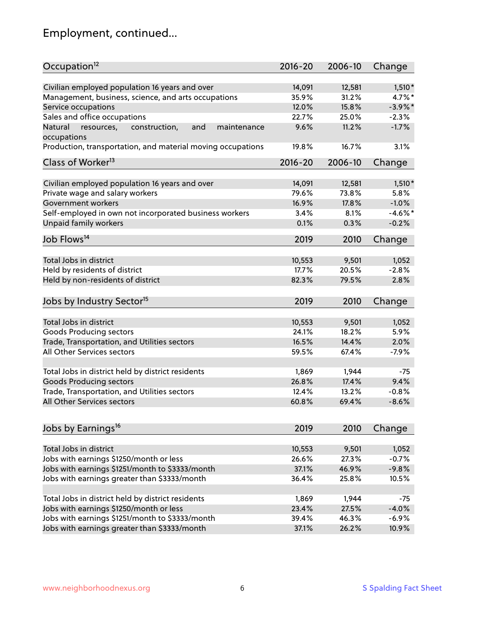# Employment, continued...

| Occupation <sup>12</sup>                                    | $2016 - 20$ | 2006-10 | Change     |
|-------------------------------------------------------------|-------------|---------|------------|
| Civilian employed population 16 years and over              | 14,091      | 12,581  | $1,510*$   |
| Management, business, science, and arts occupations         | 35.9%       | 31.2%   | 4.7%*      |
| Service occupations                                         | 12.0%       | 15.8%   | $-3.9\%$ * |
| Sales and office occupations                                | 22.7%       | 25.0%   | $-2.3%$    |
| Natural<br>and<br>maintenance                               | 9.6%        | 11.2%   | $-1.7%$    |
| resources,<br>construction,<br>occupations                  |             |         |            |
| Production, transportation, and material moving occupations | 19.8%       | 16.7%   | 3.1%       |
| Class of Worker <sup>13</sup>                               | $2016 - 20$ | 2006-10 | Change     |
|                                                             |             |         |            |
| Civilian employed population 16 years and over              | 14,091      | 12,581  | $1,510*$   |
| Private wage and salary workers                             | 79.6%       | 73.8%   | 5.8%       |
| Government workers                                          | 16.9%       | 17.8%   | $-1.0%$    |
| Self-employed in own not incorporated business workers      | 3.4%        | 8.1%    | $-4.6%$ *  |
| Unpaid family workers                                       | 0.1%        | 0.3%    | $-0.2%$    |
| Job Flows <sup>14</sup>                                     | 2019        | 2010    | Change     |
|                                                             |             |         |            |
| Total Jobs in district                                      | 10,553      | 9,501   | 1,052      |
| Held by residents of district                               | 17.7%       | 20.5%   | $-2.8%$    |
| Held by non-residents of district                           | 82.3%       | 79.5%   | 2.8%       |
| Jobs by Industry Sector <sup>15</sup>                       | 2019        | 2010    | Change     |
| Total Jobs in district                                      | 10,553      | 9,501   | 1,052      |
|                                                             | 24.1%       | 18.2%   | 5.9%       |
| Goods Producing sectors                                     |             |         | 2.0%       |
| Trade, Transportation, and Utilities sectors                | 16.5%       | 14.4%   |            |
| All Other Services sectors                                  | 59.5%       | 67.4%   | $-7.9%$    |
| Total Jobs in district held by district residents           | 1,869       | 1,944   | $-75$      |
| <b>Goods Producing sectors</b>                              | 26.8%       | 17.4%   | 9.4%       |
| Trade, Transportation, and Utilities sectors                | 12.4%       | 13.2%   | $-0.8%$    |
| All Other Services sectors                                  | 60.8%       | 69.4%   | $-8.6%$    |
|                                                             |             |         |            |
| Jobs by Earnings <sup>16</sup>                              | 2019        | 2010    | Change     |
|                                                             |             |         |            |
| Total Jobs in district                                      | 10,553      | 9,501   | 1,052      |
| Jobs with earnings \$1250/month or less                     | 26.6%       | 27.3%   | $-0.7%$    |
| Jobs with earnings \$1251/month to \$3333/month             | 37.1%       | 46.9%   | $-9.8%$    |
| Jobs with earnings greater than \$3333/month                | 36.4%       | 25.8%   | 10.5%      |
| Total Jobs in district held by district residents           | 1,869       | 1,944   | $-75$      |
| Jobs with earnings \$1250/month or less                     | 23.4%       | 27.5%   | $-4.0%$    |
| Jobs with earnings \$1251/month to \$3333/month             | 39.4%       | 46.3%   | $-6.9%$    |
| Jobs with earnings greater than \$3333/month                | 37.1%       | 26.2%   | 10.9%      |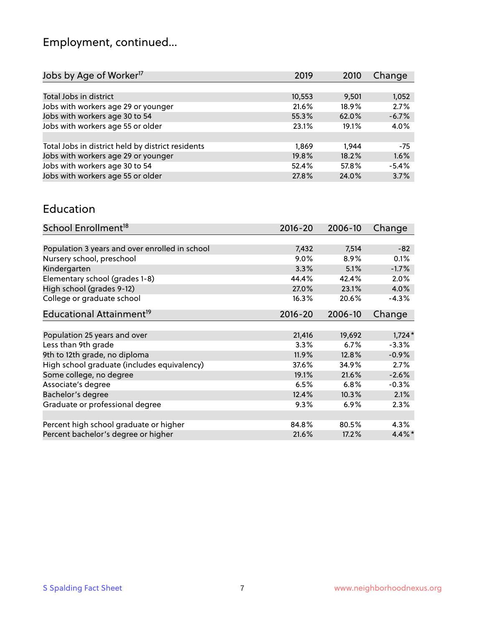# Employment, continued...

| 2019   | 2010  | Change  |
|--------|-------|---------|
|        |       |         |
| 10,553 | 9,501 | 1,052   |
| 21.6%  | 18.9% | 2.7%    |
| 55.3%  | 62.0% | $-6.7%$ |
| 23.1%  | 19.1% | 4.0%    |
|        |       |         |
| 1,869  | 1.944 | $-75$   |
| 19.8%  | 18.2% | 1.6%    |
| 52.4%  | 57.8% | $-5.4%$ |
| 27.8%  | 24.0% | 3.7%    |
|        |       |         |

#### Education

| School Enrollment <sup>18</sup>                | $2016 - 20$ | 2006-10 | Change    |
|------------------------------------------------|-------------|---------|-----------|
|                                                |             |         |           |
| Population 3 years and over enrolled in school | 7,432       | 7,514   | $-82$     |
| Nursery school, preschool                      | 9.0%        | 8.9%    | 0.1%      |
| Kindergarten                                   | 3.3%        | 5.1%    | $-1.7%$   |
| Elementary school (grades 1-8)                 | 44.4%       | 42.4%   | 2.0%      |
| High school (grades 9-12)                      | 27.0%       | 23.1%   | 4.0%      |
| College or graduate school                     | 16.3%       | 20.6%   | $-4.3%$   |
| Educational Attainment <sup>19</sup>           | $2016 - 20$ | 2006-10 | Change    |
|                                                |             |         |           |
| Population 25 years and over                   | 21,416      | 19,692  | $1,724*$  |
| Less than 9th grade                            | 3.3%        | 6.7%    | $-3.3%$   |
| 9th to 12th grade, no diploma                  | 11.9%       | 12.8%   | $-0.9%$   |
| High school graduate (includes equivalency)    | 37.6%       | 34.9%   | 2.7%      |
| Some college, no degree                        | 19.1%       | 21.6%   | $-2.6%$   |
| Associate's degree                             | 6.5%        | 6.8%    | $-0.3%$   |
| Bachelor's degree                              | 12.4%       | 10.3%   | 2.1%      |
| Graduate or professional degree                | 9.3%        | 6.9%    | 2.3%      |
|                                                |             |         |           |
| Percent high school graduate or higher         | 84.8%       | 80.5%   | $4.3\%$   |
| Percent bachelor's degree or higher            | 21.6%       | 17.2%   | $4.4\%$ * |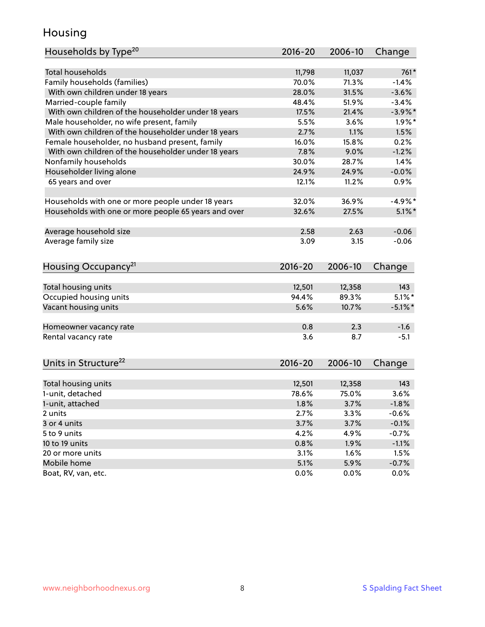### Housing

| <b>Total households</b><br>11,798<br>11,037<br>761*<br>Family households (families)<br>70.0%<br>71.3%<br>$-1.4%$<br>With own children under 18 years<br>28.0%<br>31.5%<br>$-3.6%$<br>Married-couple family<br>48.4%<br>51.9%<br>$-3.4%$<br>With own children of the householder under 18 years<br>17.5%<br>21.4%<br>$-3.9\%$ *<br>Male householder, no wife present, family<br>3.6%<br>$1.9\%$ *<br>5.5%<br>With own children of the householder under 18 years<br>2.7%<br>1.1%<br>1.5%<br>Female householder, no husband present, family<br>16.0%<br>0.2%<br>15.8%<br>With own children of the householder under 18 years<br>7.8%<br>9.0%<br>$-1.2%$<br>Nonfamily households<br>30.0%<br>28.7%<br>1.4%<br>Householder living alone<br>24.9%<br>$-0.0%$<br>24.9%<br>65 years and over<br>12.1%<br>11.2%<br>0.9%<br>32.0%<br>36.9%<br>$-4.9%$ *<br>Households with one or more people under 18 years<br>Households with one or more people 65 years and over<br>32.6%<br>27.5%<br>$5.1\%$ *<br>Average household size<br>$-0.06$<br>2.58<br>2.63<br>Average family size<br>$-0.06$<br>3.09<br>3.15<br>Housing Occupancy <sup>21</sup><br>$2016 - 20$<br>2006-10<br>Change<br>Total housing units<br>143<br>12,501<br>12,358<br>$5.1\%$ *<br>Occupied housing units<br>94.4%<br>89.3%<br>Vacant housing units<br>5.6%<br>$-5.1\%$ *<br>10.7%<br>0.8<br>2.3<br>$-1.6$<br>Homeowner vacancy rate<br>8.7<br>Rental vacancy rate<br>3.6<br>$-5.1$<br>Units in Structure <sup>22</sup><br>2016-20<br>2006-10<br>Change<br>Total housing units<br>12,501<br>12,358<br>143<br>78.6%<br>1-unit, detached<br>75.0%<br>3.6%<br>1-unit, attached<br>1.8%<br>3.7%<br>$-1.8%$<br>2.7%<br>2 units<br>3.3%<br>$-0.6%$<br>3 or 4 units<br>3.7%<br>3.7%<br>$-0.1%$<br>5 to 9 units<br>4.2%<br>4.9%<br>$-0.7%$<br>10 to 19 units<br>0.8%<br>1.9%<br>$-1.1%$<br>3.1%<br>1.5%<br>20 or more units<br>1.6%<br>Mobile home<br>5.1%<br>5.9%<br>$-0.7%$ | Households by Type <sup>20</sup> | 2016-20 | 2006-10 | Change |
|-------------------------------------------------------------------------------------------------------------------------------------------------------------------------------------------------------------------------------------------------------------------------------------------------------------------------------------------------------------------------------------------------------------------------------------------------------------------------------------------------------------------------------------------------------------------------------------------------------------------------------------------------------------------------------------------------------------------------------------------------------------------------------------------------------------------------------------------------------------------------------------------------------------------------------------------------------------------------------------------------------------------------------------------------------------------------------------------------------------------------------------------------------------------------------------------------------------------------------------------------------------------------------------------------------------------------------------------------------------------------------------------------------------------------------------------------------------------------------------------------------------------------------------------------------------------------------------------------------------------------------------------------------------------------------------------------------------------------------------------------------------------------------------------------------------------------------------------------------------------------------------------------------------------------------|----------------------------------|---------|---------|--------|
|                                                                                                                                                                                                                                                                                                                                                                                                                                                                                                                                                                                                                                                                                                                                                                                                                                                                                                                                                                                                                                                                                                                                                                                                                                                                                                                                                                                                                                                                                                                                                                                                                                                                                                                                                                                                                                                                                                                               |                                  |         |         |        |
|                                                                                                                                                                                                                                                                                                                                                                                                                                                                                                                                                                                                                                                                                                                                                                                                                                                                                                                                                                                                                                                                                                                                                                                                                                                                                                                                                                                                                                                                                                                                                                                                                                                                                                                                                                                                                                                                                                                               |                                  |         |         |        |
|                                                                                                                                                                                                                                                                                                                                                                                                                                                                                                                                                                                                                                                                                                                                                                                                                                                                                                                                                                                                                                                                                                                                                                                                                                                                                                                                                                                                                                                                                                                                                                                                                                                                                                                                                                                                                                                                                                                               |                                  |         |         |        |
|                                                                                                                                                                                                                                                                                                                                                                                                                                                                                                                                                                                                                                                                                                                                                                                                                                                                                                                                                                                                                                                                                                                                                                                                                                                                                                                                                                                                                                                                                                                                                                                                                                                                                                                                                                                                                                                                                                                               |                                  |         |         |        |
|                                                                                                                                                                                                                                                                                                                                                                                                                                                                                                                                                                                                                                                                                                                                                                                                                                                                                                                                                                                                                                                                                                                                                                                                                                                                                                                                                                                                                                                                                                                                                                                                                                                                                                                                                                                                                                                                                                                               |                                  |         |         |        |
|                                                                                                                                                                                                                                                                                                                                                                                                                                                                                                                                                                                                                                                                                                                                                                                                                                                                                                                                                                                                                                                                                                                                                                                                                                                                                                                                                                                                                                                                                                                                                                                                                                                                                                                                                                                                                                                                                                                               |                                  |         |         |        |
|                                                                                                                                                                                                                                                                                                                                                                                                                                                                                                                                                                                                                                                                                                                                                                                                                                                                                                                                                                                                                                                                                                                                                                                                                                                                                                                                                                                                                                                                                                                                                                                                                                                                                                                                                                                                                                                                                                                               |                                  |         |         |        |
|                                                                                                                                                                                                                                                                                                                                                                                                                                                                                                                                                                                                                                                                                                                                                                                                                                                                                                                                                                                                                                                                                                                                                                                                                                                                                                                                                                                                                                                                                                                                                                                                                                                                                                                                                                                                                                                                                                                               |                                  |         |         |        |
|                                                                                                                                                                                                                                                                                                                                                                                                                                                                                                                                                                                                                                                                                                                                                                                                                                                                                                                                                                                                                                                                                                                                                                                                                                                                                                                                                                                                                                                                                                                                                                                                                                                                                                                                                                                                                                                                                                                               |                                  |         |         |        |
|                                                                                                                                                                                                                                                                                                                                                                                                                                                                                                                                                                                                                                                                                                                                                                                                                                                                                                                                                                                                                                                                                                                                                                                                                                                                                                                                                                                                                                                                                                                                                                                                                                                                                                                                                                                                                                                                                                                               |                                  |         |         |        |
|                                                                                                                                                                                                                                                                                                                                                                                                                                                                                                                                                                                                                                                                                                                                                                                                                                                                                                                                                                                                                                                                                                                                                                                                                                                                                                                                                                                                                                                                                                                                                                                                                                                                                                                                                                                                                                                                                                                               |                                  |         |         |        |
|                                                                                                                                                                                                                                                                                                                                                                                                                                                                                                                                                                                                                                                                                                                                                                                                                                                                                                                                                                                                                                                                                                                                                                                                                                                                                                                                                                                                                                                                                                                                                                                                                                                                                                                                                                                                                                                                                                                               |                                  |         |         |        |
|                                                                                                                                                                                                                                                                                                                                                                                                                                                                                                                                                                                                                                                                                                                                                                                                                                                                                                                                                                                                                                                                                                                                                                                                                                                                                                                                                                                                                                                                                                                                                                                                                                                                                                                                                                                                                                                                                                                               |                                  |         |         |        |
|                                                                                                                                                                                                                                                                                                                                                                                                                                                                                                                                                                                                                                                                                                                                                                                                                                                                                                                                                                                                                                                                                                                                                                                                                                                                                                                                                                                                                                                                                                                                                                                                                                                                                                                                                                                                                                                                                                                               |                                  |         |         |        |
|                                                                                                                                                                                                                                                                                                                                                                                                                                                                                                                                                                                                                                                                                                                                                                                                                                                                                                                                                                                                                                                                                                                                                                                                                                                                                                                                                                                                                                                                                                                                                                                                                                                                                                                                                                                                                                                                                                                               |                                  |         |         |        |
|                                                                                                                                                                                                                                                                                                                                                                                                                                                                                                                                                                                                                                                                                                                                                                                                                                                                                                                                                                                                                                                                                                                                                                                                                                                                                                                                                                                                                                                                                                                                                                                                                                                                                                                                                                                                                                                                                                                               |                                  |         |         |        |
|                                                                                                                                                                                                                                                                                                                                                                                                                                                                                                                                                                                                                                                                                                                                                                                                                                                                                                                                                                                                                                                                                                                                                                                                                                                                                                                                                                                                                                                                                                                                                                                                                                                                                                                                                                                                                                                                                                                               |                                  |         |         |        |
|                                                                                                                                                                                                                                                                                                                                                                                                                                                                                                                                                                                                                                                                                                                                                                                                                                                                                                                                                                                                                                                                                                                                                                                                                                                                                                                                                                                                                                                                                                                                                                                                                                                                                                                                                                                                                                                                                                                               |                                  |         |         |        |
|                                                                                                                                                                                                                                                                                                                                                                                                                                                                                                                                                                                                                                                                                                                                                                                                                                                                                                                                                                                                                                                                                                                                                                                                                                                                                                                                                                                                                                                                                                                                                                                                                                                                                                                                                                                                                                                                                                                               |                                  |         |         |        |
|                                                                                                                                                                                                                                                                                                                                                                                                                                                                                                                                                                                                                                                                                                                                                                                                                                                                                                                                                                                                                                                                                                                                                                                                                                                                                                                                                                                                                                                                                                                                                                                                                                                                                                                                                                                                                                                                                                                               |                                  |         |         |        |
|                                                                                                                                                                                                                                                                                                                                                                                                                                                                                                                                                                                                                                                                                                                                                                                                                                                                                                                                                                                                                                                                                                                                                                                                                                                                                                                                                                                                                                                                                                                                                                                                                                                                                                                                                                                                                                                                                                                               |                                  |         |         |        |
|                                                                                                                                                                                                                                                                                                                                                                                                                                                                                                                                                                                                                                                                                                                                                                                                                                                                                                                                                                                                                                                                                                                                                                                                                                                                                                                                                                                                                                                                                                                                                                                                                                                                                                                                                                                                                                                                                                                               |                                  |         |         |        |
|                                                                                                                                                                                                                                                                                                                                                                                                                                                                                                                                                                                                                                                                                                                                                                                                                                                                                                                                                                                                                                                                                                                                                                                                                                                                                                                                                                                                                                                                                                                                                                                                                                                                                                                                                                                                                                                                                                                               |                                  |         |         |        |
|                                                                                                                                                                                                                                                                                                                                                                                                                                                                                                                                                                                                                                                                                                                                                                                                                                                                                                                                                                                                                                                                                                                                                                                                                                                                                                                                                                                                                                                                                                                                                                                                                                                                                                                                                                                                                                                                                                                               |                                  |         |         |        |
|                                                                                                                                                                                                                                                                                                                                                                                                                                                                                                                                                                                                                                                                                                                                                                                                                                                                                                                                                                                                                                                                                                                                                                                                                                                                                                                                                                                                                                                                                                                                                                                                                                                                                                                                                                                                                                                                                                                               |                                  |         |         |        |
|                                                                                                                                                                                                                                                                                                                                                                                                                                                                                                                                                                                                                                                                                                                                                                                                                                                                                                                                                                                                                                                                                                                                                                                                                                                                                                                                                                                                                                                                                                                                                                                                                                                                                                                                                                                                                                                                                                                               |                                  |         |         |        |
|                                                                                                                                                                                                                                                                                                                                                                                                                                                                                                                                                                                                                                                                                                                                                                                                                                                                                                                                                                                                                                                                                                                                                                                                                                                                                                                                                                                                                                                                                                                                                                                                                                                                                                                                                                                                                                                                                                                               |                                  |         |         |        |
|                                                                                                                                                                                                                                                                                                                                                                                                                                                                                                                                                                                                                                                                                                                                                                                                                                                                                                                                                                                                                                                                                                                                                                                                                                                                                                                                                                                                                                                                                                                                                                                                                                                                                                                                                                                                                                                                                                                               |                                  |         |         |        |
|                                                                                                                                                                                                                                                                                                                                                                                                                                                                                                                                                                                                                                                                                                                                                                                                                                                                                                                                                                                                                                                                                                                                                                                                                                                                                                                                                                                                                                                                                                                                                                                                                                                                                                                                                                                                                                                                                                                               |                                  |         |         |        |
|                                                                                                                                                                                                                                                                                                                                                                                                                                                                                                                                                                                                                                                                                                                                                                                                                                                                                                                                                                                                                                                                                                                                                                                                                                                                                                                                                                                                                                                                                                                                                                                                                                                                                                                                                                                                                                                                                                                               |                                  |         |         |        |
|                                                                                                                                                                                                                                                                                                                                                                                                                                                                                                                                                                                                                                                                                                                                                                                                                                                                                                                                                                                                                                                                                                                                                                                                                                                                                                                                                                                                                                                                                                                                                                                                                                                                                                                                                                                                                                                                                                                               |                                  |         |         |        |
|                                                                                                                                                                                                                                                                                                                                                                                                                                                                                                                                                                                                                                                                                                                                                                                                                                                                                                                                                                                                                                                                                                                                                                                                                                                                                                                                                                                                                                                                                                                                                                                                                                                                                                                                                                                                                                                                                                                               |                                  |         |         |        |
|                                                                                                                                                                                                                                                                                                                                                                                                                                                                                                                                                                                                                                                                                                                                                                                                                                                                                                                                                                                                                                                                                                                                                                                                                                                                                                                                                                                                                                                                                                                                                                                                                                                                                                                                                                                                                                                                                                                               |                                  |         |         |        |
|                                                                                                                                                                                                                                                                                                                                                                                                                                                                                                                                                                                                                                                                                                                                                                                                                                                                                                                                                                                                                                                                                                                                                                                                                                                                                                                                                                                                                                                                                                                                                                                                                                                                                                                                                                                                                                                                                                                               |                                  |         |         |        |
|                                                                                                                                                                                                                                                                                                                                                                                                                                                                                                                                                                                                                                                                                                                                                                                                                                                                                                                                                                                                                                                                                                                                                                                                                                                                                                                                                                                                                                                                                                                                                                                                                                                                                                                                                                                                                                                                                                                               |                                  |         |         |        |
|                                                                                                                                                                                                                                                                                                                                                                                                                                                                                                                                                                                                                                                                                                                                                                                                                                                                                                                                                                                                                                                                                                                                                                                                                                                                                                                                                                                                                                                                                                                                                                                                                                                                                                                                                                                                                                                                                                                               |                                  |         |         |        |
|                                                                                                                                                                                                                                                                                                                                                                                                                                                                                                                                                                                                                                                                                                                                                                                                                                                                                                                                                                                                                                                                                                                                                                                                                                                                                                                                                                                                                                                                                                                                                                                                                                                                                                                                                                                                                                                                                                                               |                                  |         |         |        |
|                                                                                                                                                                                                                                                                                                                                                                                                                                                                                                                                                                                                                                                                                                                                                                                                                                                                                                                                                                                                                                                                                                                                                                                                                                                                                                                                                                                                                                                                                                                                                                                                                                                                                                                                                                                                                                                                                                                               |                                  |         |         |        |
|                                                                                                                                                                                                                                                                                                                                                                                                                                                                                                                                                                                                                                                                                                                                                                                                                                                                                                                                                                                                                                                                                                                                                                                                                                                                                                                                                                                                                                                                                                                                                                                                                                                                                                                                                                                                                                                                                                                               | Boat, RV, van, etc.              | 0.0%    | 0.0%    | 0.0%   |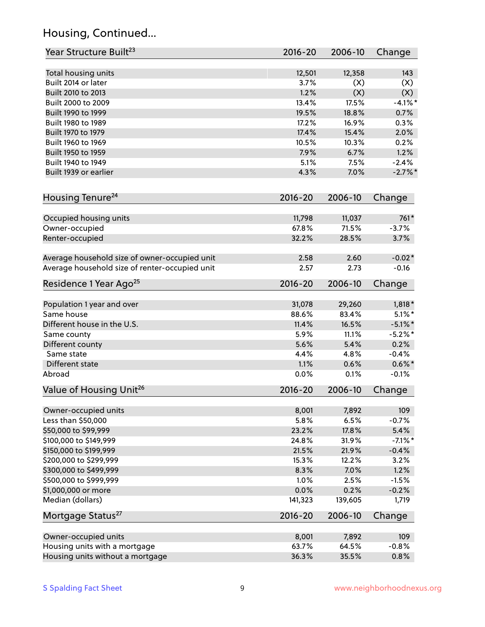### Housing, Continued...

| Year Structure Built <sup>23</sup>             | 2016-20     | 2006-10 | Change             |
|------------------------------------------------|-------------|---------|--------------------|
| Total housing units                            | 12,501      | 12,358  | 143                |
| Built 2014 or later                            | 3.7%        | (X)     | (X)                |
| Built 2010 to 2013                             | 1.2%        | (X)     | (X)                |
| Built 2000 to 2009                             | 13.4%       | 17.5%   | $-4.1%$ *          |
| Built 1990 to 1999                             | 19.5%       | 18.8%   | 0.7%               |
| Built 1980 to 1989                             | 17.2%       | 16.9%   | 0.3%               |
| Built 1970 to 1979                             | 17.4%       | 15.4%   | 2.0%               |
| Built 1960 to 1969                             | 10.5%       | 10.3%   | 0.2%               |
| Built 1950 to 1959                             | 7.9%        | 6.7%    | 1.2%               |
| Built 1940 to 1949                             | 5.1%        | 7.5%    | $-2.4%$            |
| Built 1939 or earlier                          | 4.3%        | 7.0%    | $-2.7\%$ *         |
|                                                |             |         |                    |
| Housing Tenure <sup>24</sup>                   | $2016 - 20$ | 2006-10 | Change             |
| Occupied housing units                         | 11,798      | 11,037  | $761*$             |
| Owner-occupied                                 | 67.8%       | 71.5%   | $-3.7%$            |
| Renter-occupied                                | 32.2%       | 28.5%   | 3.7%               |
|                                                |             |         |                    |
| Average household size of owner-occupied unit  | 2.58        | 2.60    | $-0.02*$           |
| Average household size of renter-occupied unit | 2.57        | 2.73    | $-0.16$            |
| Residence 1 Year Ago <sup>25</sup>             | $2016 - 20$ | 2006-10 | Change             |
|                                                |             |         |                    |
| Population 1 year and over                     | 31,078      | 29,260  | $1,818*$           |
| Same house                                     | 88.6%       | 83.4%   | $5.1\%$ *          |
| Different house in the U.S.                    | 11.4%       | 16.5%   | $-5.1\%$ *         |
| Same county                                    | 5.9%        | 11.1%   | $-5.2%$ *          |
| Different county                               | 5.6%        | 5.4%    | 0.2%               |
| Same state                                     | 4.4%        | 4.8%    | $-0.4%$            |
| Different state                                | 1.1%        | 0.6%    | $0.6\% *$          |
| Abroad                                         | 0.0%        | 0.1%    | $-0.1%$            |
| Value of Housing Unit <sup>26</sup>            | 2016-20     | 2006-10 | Change             |
| Owner-occupied units                           | 8,001       | 7,892   | 109                |
| Less than \$50,000                             | 5.8%        | 6.5%    | $-0.7%$            |
| \$50,000 to \$99,999                           | 23.2%       | 17.8%   | 5.4%               |
| \$100,000 to \$149,999                         | 24.8%       | 31.9%   | $-7.1\%$ *         |
| \$150,000 to \$199,999                         | 21.5%       | 21.9%   | $-0.4%$            |
| \$200,000 to \$299,999                         | 15.3%       | 12.2%   | 3.2%               |
| \$300,000 to \$499,999                         | 8.3%        | 7.0%    | 1.2%               |
|                                                |             |         |                    |
| \$500,000 to \$999,999<br>\$1,000,000 or more  | 1.0%        | 2.5%    | $-1.5%$<br>$-0.2%$ |
| Median (dollars)                               | 0.0%        | 0.2%    |                    |
|                                                | 141,323     | 139,605 | 1,719              |
| Mortgage Status <sup>27</sup>                  | $2016 - 20$ | 2006-10 | Change             |
| Owner-occupied units                           | 8,001       | 7,892   | 109                |
| Housing units with a mortgage                  | 63.7%       | 64.5%   | $-0.8%$            |
| Housing units without a mortgage               | 36.3%       | 35.5%   | 0.8%               |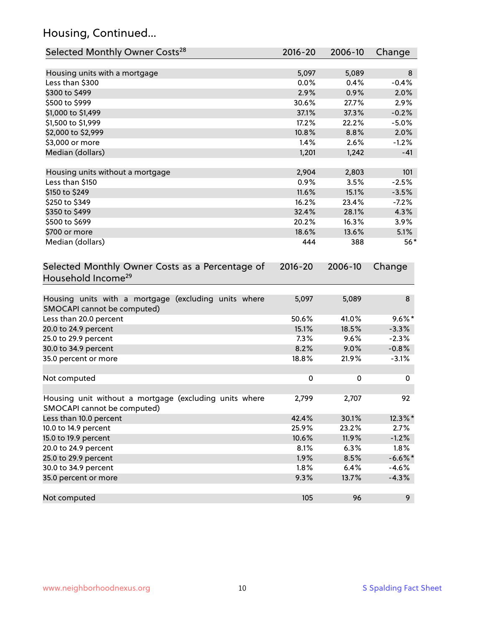### Housing, Continued...

| Selected Monthly Owner Costs <sup>28</sup>                                            | 2016-20   | 2006-10 | Change     |
|---------------------------------------------------------------------------------------|-----------|---------|------------|
| Housing units with a mortgage                                                         | 5,097     | 5,089   | 8          |
| Less than \$300                                                                       | 0.0%      | 0.4%    | $-0.4%$    |
| \$300 to \$499                                                                        | 2.9%      | 0.9%    | 2.0%       |
| \$500 to \$999                                                                        | 30.6%     | 27.7%   | 2.9%       |
| \$1,000 to \$1,499                                                                    | 37.1%     | 37.3%   | $-0.2%$    |
| \$1,500 to \$1,999                                                                    | 17.2%     | 22.2%   | $-5.0%$    |
| \$2,000 to \$2,999                                                                    | 10.8%     | 8.8%    | 2.0%       |
| \$3,000 or more                                                                       | 1.4%      | 2.6%    | $-1.2%$    |
| Median (dollars)                                                                      | 1,201     | 1,242   | $-41$      |
| Housing units without a mortgage                                                      | 2,904     | 2,803   | 101        |
| Less than \$150                                                                       | 0.9%      | 3.5%    | $-2.5%$    |
| \$150 to \$249                                                                        | 11.6%     | 15.1%   | $-3.5%$    |
| \$250 to \$349                                                                        | 16.2%     | 23.4%   | $-7.2%$    |
| \$350 to \$499                                                                        | 32.4%     | 28.1%   | 4.3%       |
| \$500 to \$699                                                                        | 20.2%     | 16.3%   | 3.9%       |
| \$700 or more                                                                         | 18.6%     | 13.6%   | 5.1%       |
| Median (dollars)                                                                      | 444       | 388     | $56*$      |
| Selected Monthly Owner Costs as a Percentage of<br>Household Income <sup>29</sup>     |           |         | Change     |
| Housing units with a mortgage (excluding units where<br>SMOCAPI cannot be computed)   | 5,097     | 5,089   | 8          |
| Less than 20.0 percent                                                                | 50.6%     | 41.0%   | $9.6\%$ *  |
| 20.0 to 24.9 percent                                                                  | 15.1%     | 18.5%   | $-3.3%$    |
| 25.0 to 29.9 percent                                                                  | 7.3%      | 9.6%    | $-2.3%$    |
| 30.0 to 34.9 percent                                                                  | 8.2%      | 9.0%    | $-0.8%$    |
| 35.0 percent or more                                                                  | 18.8%     | 21.9%   | $-3.1%$    |
| Not computed                                                                          | $\pmb{0}$ | 0       | 0          |
| Housing unit without a mortgage (excluding units where<br>SMOCAPI cannot be computed) | 2,799     | 2,707   | 92         |
| Less than 10.0 percent                                                                | 42.4%     | 30.1%   | 12.3%*     |
| 10.0 to 14.9 percent                                                                  | 25.9%     | 23.2%   | 2.7%       |
| 15.0 to 19.9 percent                                                                  | 10.6%     | 11.9%   | $-1.2%$    |
| 20.0 to 24.9 percent                                                                  | 8.1%      | 6.3%    | 1.8%       |
| 25.0 to 29.9 percent                                                                  | 1.9%      | 8.5%    | $-6.6\%$ * |
| 30.0 to 34.9 percent                                                                  | 1.8%      | 6.4%    | $-4.6%$    |
| 35.0 percent or more                                                                  | 9.3%      | 13.7%   | $-4.3%$    |
| Not computed                                                                          | 105       | 96      | 9          |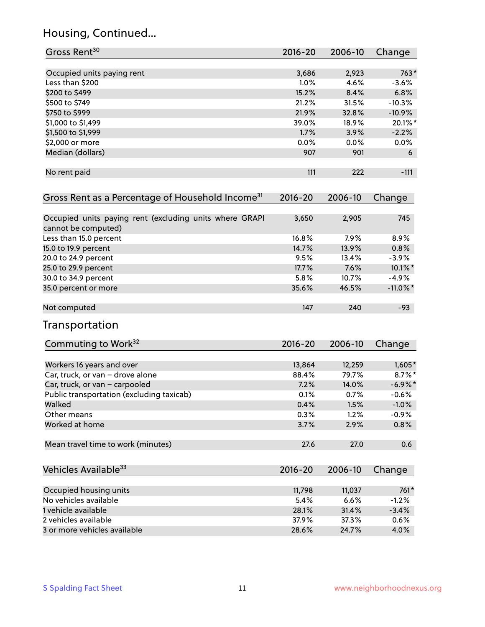### Housing, Continued...

| Gross Rent <sup>30</sup>                                     | 2016-20     | 2006-10 | Change      |
|--------------------------------------------------------------|-------------|---------|-------------|
| Occupied units paying rent                                   | 3,686       | 2,923   | $763*$      |
| Less than \$200                                              | 1.0%        | 4.6%    | $-3.6%$     |
| \$200 to \$499                                               | 15.2%       | 8.4%    | 6.8%        |
| \$500 to \$749                                               | 21.2%       | 31.5%   | $-10.3%$    |
| \$750 to \$999                                               | 21.9%       | 32.8%   | $-10.9%$    |
| \$1,000 to \$1,499                                           | 39.0%       | 18.9%   | 20.1%*      |
| \$1,500 to \$1,999                                           | 1.7%        | 3.9%    | $-2.2%$     |
| \$2,000 or more                                              | 0.0%        | 0.0%    | $0.0\%$     |
| Median (dollars)                                             | 907         | 901     | 6           |
|                                                              |             |         |             |
| No rent paid                                                 | 111         | 222     | $-111$      |
| Gross Rent as a Percentage of Household Income <sup>31</sup> | $2016 - 20$ | 2006-10 | Change      |
| Occupied units paying rent (excluding units where GRAPI      | 3,650       | 2,905   | 745         |
| cannot be computed)                                          |             |         |             |
| Less than 15.0 percent                                       | 16.8%       | 7.9%    | 8.9%        |
| 15.0 to 19.9 percent                                         | 14.7%       | 13.9%   | 0.8%        |
| 20.0 to 24.9 percent                                         | 9.5%        | 13.4%   | $-3.9%$     |
| 25.0 to 29.9 percent                                         | 17.7%       | 7.6%    | 10.1%*      |
| 30.0 to 34.9 percent                                         | 5.8%        | 10.7%   | $-4.9%$     |
| 35.0 percent or more                                         | 35.6%       | 46.5%   | $-11.0\%$ * |
| Not computed                                                 | 147         | 240     | $-93$       |
| <b>Transportation</b>                                        |             |         |             |
| Commuting to Work <sup>32</sup>                              | 2016-20     | 2006-10 | Change      |
| Workers 16 years and over                                    | 13,864      | 12,259  | $1,605*$    |
| Car, truck, or van - drove alone                             | 88.4%       | 79.7%   | $8.7\%$ *   |
| Car, truck, or van - carpooled                               | 7.2%        | 14.0%   | $-6.9\%$ *  |
| Public transportation (excluding taxicab)                    | 0.1%        | 0.7%    | $-0.6%$     |
| Walked                                                       | 0.4%        | 1.5%    | $-1.0%$     |
| Other means                                                  | 0.3%        | 1.2%    | $-0.9%$     |
| Worked at home                                               | 3.7%        | 2.9%    | 0.8%        |
| Mean travel time to work (minutes)                           | 27.6        | 27.0    | 0.6         |
| Vehicles Available <sup>33</sup>                             | $2016 - 20$ | 2006-10 | Change      |
| Occupied housing units                                       | 11,798      | 11,037  | 761*        |
| No vehicles available                                        | 5.4%        | 6.6%    | $-1.2%$     |
| 1 vehicle available                                          | 28.1%       | 31.4%   | $-3.4%$     |
| 2 vehicles available                                         | 37.9%       | 37.3%   | 0.6%        |
| 3 or more vehicles available                                 | 28.6%       | 24.7%   | 4.0%        |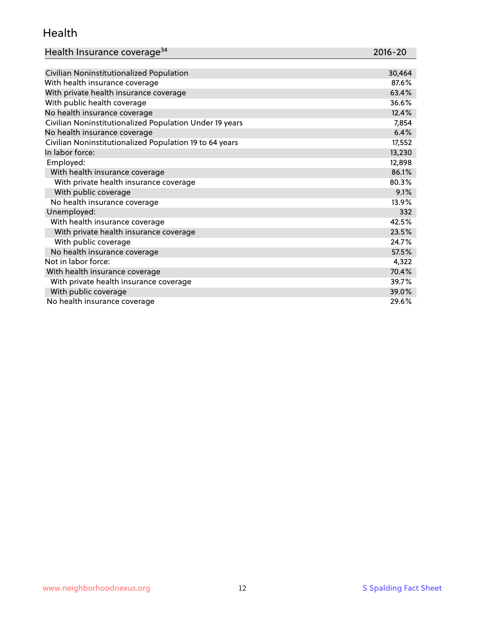### Health

| Health Insurance coverage <sup>34</sup> | 2016-20 |
|-----------------------------------------|---------|
|-----------------------------------------|---------|

| Civilian Noninstitutionalized Population                | 30,464 |
|---------------------------------------------------------|--------|
| With health insurance coverage                          | 87.6%  |
| With private health insurance coverage                  | 63.4%  |
| With public health coverage                             | 36.6%  |
| No health insurance coverage                            | 12.4%  |
| Civilian Noninstitutionalized Population Under 19 years | 7,854  |
| No health insurance coverage                            | 6.4%   |
| Civilian Noninstitutionalized Population 19 to 64 years | 17,552 |
| In labor force:                                         | 13,230 |
| Employed:                                               | 12,898 |
| With health insurance coverage                          | 86.1%  |
| With private health insurance coverage                  | 80.3%  |
| With public coverage                                    | 9.1%   |
| No health insurance coverage                            | 13.9%  |
| Unemployed:                                             | 332    |
| With health insurance coverage                          | 42.5%  |
| With private health insurance coverage                  | 23.5%  |
| With public coverage                                    | 24.7%  |
| No health insurance coverage                            | 57.5%  |
| Not in labor force:                                     | 4,322  |
| With health insurance coverage                          | 70.4%  |
| With private health insurance coverage                  | 39.7%  |
| With public coverage                                    | 39.0%  |
| No health insurance coverage                            | 29.6%  |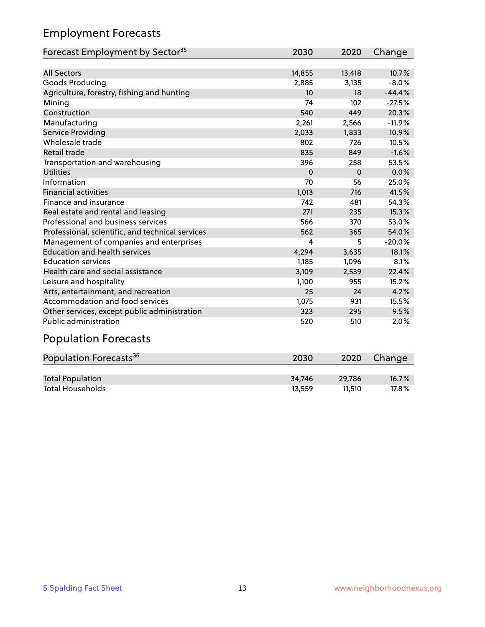### Employment Forecasts

| Forecast Employment by Sector <sup>35</sup>      | 2030     | 2020     | Change   |
|--------------------------------------------------|----------|----------|----------|
|                                                  |          |          |          |
| <b>All Sectors</b>                               | 14,855   | 13,418   | 10.7%    |
| Goods Producing                                  | 2,885    | 3,135    | $-8.0%$  |
| Agriculture, forestry, fishing and hunting       | 10       | 18       | $-44.4%$ |
| Mining                                           | 74       | 102      | $-27.5%$ |
| Construction                                     | 540      | 449      | 20.3%    |
| Manufacturing                                    | 2,261    | 2,566    | $-11.9%$ |
| <b>Service Providing</b>                         | 2,033    | 1,833    | 10.9%    |
| Wholesale trade                                  | 802      | 726      | 10.5%    |
| Retail trade                                     | 835      | 849      | $-1.6%$  |
| Transportation and warehousing                   | 396      | 258      | 53.5%    |
| <b>Utilities</b>                                 | $\Omega$ | $\Omega$ | 0.0%     |
| Information                                      | 70       | 56       | 25.0%    |
| <b>Financial activities</b>                      | 1,013    | 716      | 41.5%    |
| Finance and insurance                            | 742      | 481      | 54.3%    |
| Real estate and rental and leasing               | 271      | 235      | 15.3%    |
| Professional and business services               | 566      | 370      | 53.0%    |
| Professional, scientific, and technical services | 562      | 365      | 54.0%    |
| Management of companies and enterprises          | 4        | 5        | $-20.0%$ |
| <b>Education and health services</b>             | 4,294    | 3,635    | 18.1%    |
| <b>Education services</b>                        | 1,185    | 1,096    | 8.1%     |
| Health care and social assistance                | 3,109    | 2,539    | 22.4%    |
| Leisure and hospitality                          | 1,100    | 955      | 15.2%    |
| Arts, entertainment, and recreation              | 25       | 24       | 4.2%     |
| Accommodation and food services                  | 1,075    | 931      | 15.5%    |
| Other services, except public administration     | 323      | 295      | 9.5%     |
| <b>Public administration</b>                     | 520      | 510      | 2.0%     |
| <b>Population Forecasts</b>                      |          |          |          |

| Population Forecasts <sup>36</sup> | 2030   | 2020   | Change   |
|------------------------------------|--------|--------|----------|
|                                    |        |        |          |
| <b>Total Population</b>            | 34.746 | 29.786 | $16.7\%$ |
| <b>Total Households</b>            | 13.559 | 11.510 | $17.8\%$ |